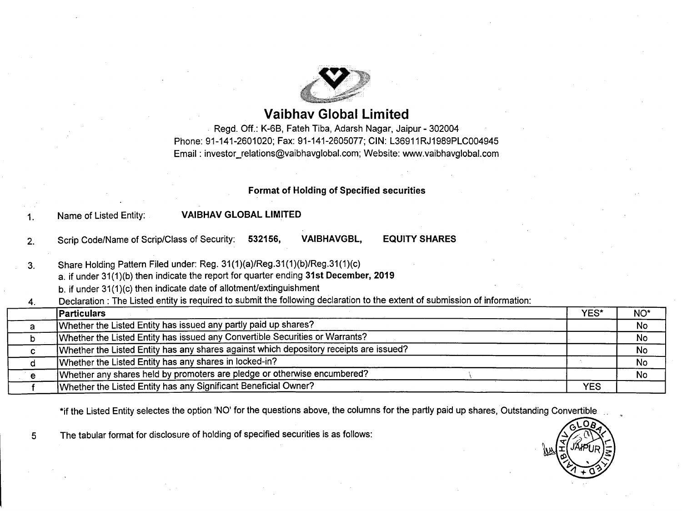

# **Vaibhav Global Limited**

Regd. Off.: K-6B, Fateh Tiba, Adarsh Nagar, Jaipur - 302004 Phone: 91-141-2601020; Fax: 91-141-2605077; CIN: L36911RJ1989PLC004945 Email: [investor\\_relations@vaibhavglobal.com;](mailto:investor_relations@vaibhavglobal.com;) Website: [www.vaibhavglobal.com](http://www.vaibhavglobal.com)

### **Format of Holding of Specified securities**

1. Name of Listed Entity: **VAIBHAV GLOBAL LIMITED**

2. Scrip Code/Name of Scrip/Class of Security: **532156, VAIBHAVGBL, EQUITY SHARES**

3. Share Holding Pattern Filed under: Reg. 31(1)(a)/Reg.31(1)(b)/Reg.31(1)(c)

a. if under 31(1)(b) then indicate the report for quarter ending **31st December, 2019**

b. if under 31(1)(c) then indicate date of allotment/extinguishment

4. Declaration: The Listed entity is required to submit the following declaration to the extent of submission of information:

| <b>Particulars</b>                                                                     | YES*       | NO*       |
|----------------------------------------------------------------------------------------|------------|-----------|
| Whether the Listed Entity has issued any partly paid up shares?                        |            | <b>No</b> |
| Whether the Listed Entity has issued any Convertible Securities or Warrants?           |            | <b>No</b> |
| Whether the Listed Entity has any shares against which depository receipts are issued? |            | No        |
| Whether the Listed Entity has any shares in locked-in?                                 |            | No        |
| Whether any shares held by promoters are pledge or otherwise encumbered?               |            | <b>No</b> |
| Whether the Listed Entity has any Significant Beneficial Owner?                        | <b>YES</b> |           |

\*if the Listed Entity selectes the option 'NO' for the questions above, the columns for the partly paid up shares, Outstanding Convertible

5 The tabular format for disclosure of holding of specified securities is as follows:

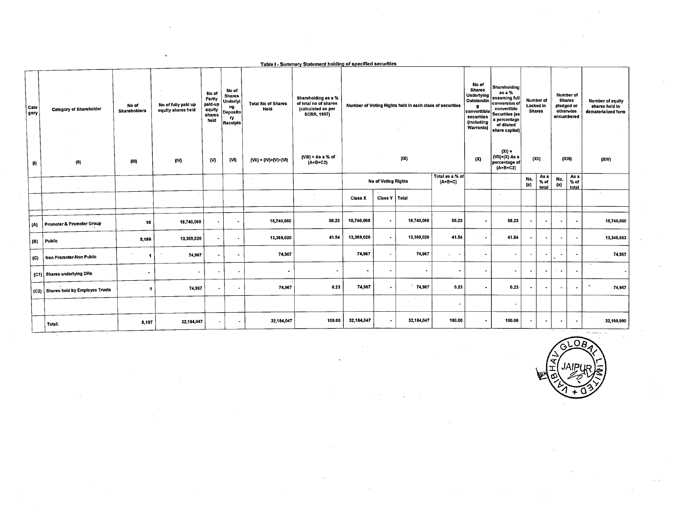| Number of<br>Locked in<br><b>Shares</b>             | Number of<br><b>Shares</b><br>pledged or<br>otherwise<br>encumbered | <b>Number of equity</b><br>shares held in<br>dematerialized form                                       |
|-----------------------------------------------------|---------------------------------------------------------------------|--------------------------------------------------------------------------------------------------------|
|                                                     |                                                                     |                                                                                                        |
| (XII)                                               | (XIII)                                                              | (XIV)                                                                                                  |
| As a<br>No.<br>$%$ of<br>$\left( a\right)$<br>total | $\left( a\right)$                                                   |                                                                                                        |
| $\mathcal{H}=\mathcal{H}$                           |                                                                     |                                                                                                        |
| $\blacksquare$<br>$\cdot$                           | $\ddot{\phantom{1}}$                                                | 18,740,060                                                                                             |
| $\bullet$<br>$\overline{\phantom{a}}$               | $\sim$                                                              | 13,345.063                                                                                             |
| $\overline{a}$<br>$\bullet$                         |                                                                     | 74,967                                                                                                 |
| $\cdot$<br>$\bullet$                                |                                                                     |                                                                                                        |
| $\sim$<br>$\overline{\phantom{a}}$                  | $\overline{\phantom{a}}$                                            | 74,967                                                                                                 |
|                                                     |                                                                     |                                                                                                        |
| $\overline{\phantom{a}}$<br>$\sim$                  | $\blacksquare$                                                      | 32,160,090<br>where $\alpha_1,\alpha_2,\ldots,\alpha_n$                                                |
|                                                     |                                                                     | As a<br>No.<br>% of<br>total<br>$\overline{\phantom{a}}$<br>$\bullet$<br>in the con-<br>$\sim 10^{-1}$ |

 $\mathcal{A}^{\pm}$ 

 $\sim$ 

 $\hat{\boldsymbol{\epsilon}}$ 

GLOBA **APLE** 

 $\sim$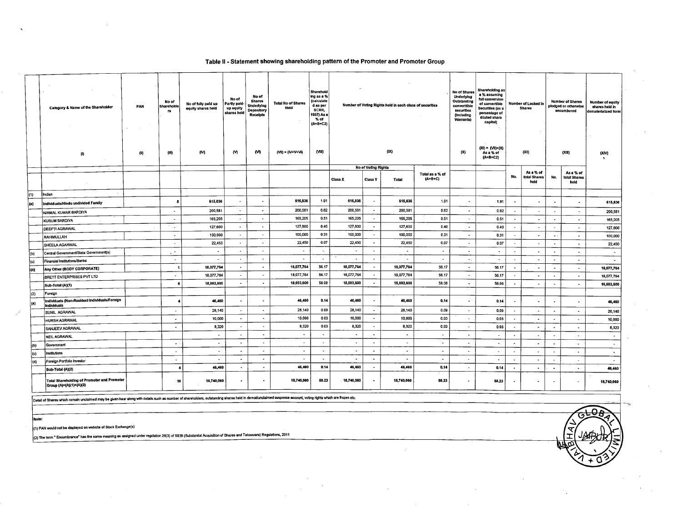#### Table II - Statement showing shareholding pattern of the Promoter and Promoter Group

|             | Category & Name of the Shareholder<br>(1)                                     | PAN<br>(ll) | No of<br>Shareholde<br>TS.<br>(III) | No of fully paid up<br>equity shares held<br>(M) | No of<br>Partly paid-<br>up equity<br>shares held<br>w | No of<br><b>Shares</b><br>Underlying<br><b>Depository</b><br><b>Receipts</b><br>(M) | <b>Total No of Shares</b><br>Held<br>$(VI) = (IV+V+VI)$ | Sharehold<br>ing as a %<br>(calculate<br>d as per<br>SCRR,<br>1957) As a<br>% of<br>(A+B+C2)<br>(VIII) | (IX)                     |                          |                          | Number of Voting Rights held in each class of securities |                          |                     | No of Voting Rights      |                                   | No of Shares<br>Underlying<br>Outstanding<br>convertible<br>securities<br>(Including<br>Warrants)<br>(X) | Shareholding as<br>a % assuming<br>full conversion<br>of convertible<br>Securities (as a<br>percentage of<br>diluted share<br>capital)<br>$(XI) = (VI) - (X)$<br>As a % of<br>$(A + B + C2)$ |                          | Number of Locked In<br><b>Shares</b><br>(X1) |  | <b>Number of Shares</b><br>pledged or otherwise<br>encumbered<br>(XIII) | <b>Number of equity</b><br>shares held in<br>dematerialized form<br>(XIN) |
|-------------|-------------------------------------------------------------------------------|-------------|-------------------------------------|--------------------------------------------------|--------------------------------------------------------|-------------------------------------------------------------------------------------|---------------------------------------------------------|--------------------------------------------------------------------------------------------------------|--------------------------|--------------------------|--------------------------|----------------------------------------------------------|--------------------------|---------------------|--------------------------|-----------------------------------|----------------------------------------------------------------------------------------------------------|----------------------------------------------------------------------------------------------------------------------------------------------------------------------------------------------|--------------------------|----------------------------------------------|--|-------------------------------------------------------------------------|---------------------------------------------------------------------------|
|             | $\sim$                                                                        |             |                                     |                                                  |                                                        |                                                                                     |                                                         |                                                                                                        | <b>Class X</b>           | <b>Class Y</b>           | Total                    | Total as a % of<br>(A+B+C)                               |                          |                     | No.                      | As a % of<br>total Shares<br>held | No.                                                                                                      | As a % of<br>total Shares<br>held                                                                                                                                                            |                          |                                              |  |                                                                         |                                                                           |
| (1)         | Indian                                                                        |             |                                     |                                                  |                                                        |                                                                                     |                                                         |                                                                                                        |                          |                          |                          |                                                          |                          |                     |                          |                                   |                                                                                                          |                                                                                                                                                                                              |                          |                                              |  |                                                                         |                                                                           |
| (a)         | Individuals/Hindu undivided Family                                            |             | Б                                   | 615,836                                          | $\hat{\phantom{a}}$                                    | $\bullet$                                                                           | 615836                                                  | 1.91                                                                                                   | 615,836                  | $\sim$                   | 615,836                  | 1.91                                                     | $\sim$                   | 1.91                | $\ddot{\phantom{0}}$     | $\blacksquare$                    | $\bullet$                                                                                                |                                                                                                                                                                                              | 615,836                  |                                              |  |                                                                         |                                                                           |
|             | NIRMAL KUMAR BARDIYA                                                          |             | $\sim$                              | 200,581                                          | $\sim$                                                 | $\sim$                                                                              | 200,581                                                 | 0.62                                                                                                   | 200,581                  | $\sim$                   | 200,58                   | 0.62                                                     | $\overline{a}$           | 0.62                | $\bullet$                | $\sim$                            | $\overline{\phantom{a}}$                                                                                 |                                                                                                                                                                                              | 200,581                  |                                              |  |                                                                         |                                                                           |
|             | <b>KUSUM BARDIYA</b>                                                          |             | $\sim$                              | 165.205                                          | $\sim$                                                 | $\sim$                                                                              | 165,205                                                 | 0.51                                                                                                   | 165,205                  | $\sim$                   | 165,205                  | 0.51                                                     | $\sim$                   | 0.51                | $\cdot$                  | $\overline{\phantom{a}}$          | $\sim$                                                                                                   |                                                                                                                                                                                              | 165,205                  |                                              |  |                                                                         |                                                                           |
|             | <b>DEEPTI AGRAWAL</b>                                                         |             | $\sim$                              | 127,600                                          | $\sim$                                                 | $\sim$                                                                              | 127,600                                                 | 0.40                                                                                                   | 127,600                  | $\bullet$                | 127,600                  | 0.40                                                     | $\sim$                   | 0.40                | $\bullet$                | $\sim$                            | $\ddot{\phantom{0}}$                                                                                     | $\sim$                                                                                                                                                                                       | 127,600                  |                                              |  |                                                                         |                                                                           |
|             | RAHIMULLAH                                                                    |             | $\sim$                              | 100,000                                          | $\bullet$                                              | $\tilde{\phantom{a}}$                                                               | 100,000                                                 | 0.31                                                                                                   | 100,000                  | $\sim$                   | 100,000                  | 0.31                                                     | $\blacksquare$           | 0.31                | $\overline{\phantom{a}}$ | $\overline{\phantom{a}}$          | $\sim$ .                                                                                                 | $\bullet$                                                                                                                                                                                    | 100,000                  |                                              |  |                                                                         |                                                                           |
|             | SHEELA AGARWAL                                                                |             | $\sim$                              | 22,450                                           | $\blacksquare$                                         | $\tilde{\phantom{a}}$                                                               | 22,450                                                  | 0.07                                                                                                   | 22,450                   | $\sim$                   | 22,450                   | 0.07                                                     | $\sim$                   | 0.07                | $\tilde{\phantom{a}}$    | $\bullet$                         | $\sim$                                                                                                   | $\bullet$                                                                                                                                                                                    | 22.450                   |                                              |  |                                                                         |                                                                           |
| l(b)        | Central Government/State Government(s)                                        |             | a m                                 | $\ddot{\phantom{0}}$                             | $\blacksquare$                                         | $\sim$                                                                              | $\sim$                                                  | $\bullet$                                                                                              | $\sim$                   | $\blacksquare$           | $\sim$                   | $\sim$                                                   | $\blacksquare$           | $\sim$              | $\sim$                   | $\blacksquare$                    | $\cdot$                                                                                                  | $\bullet$                                                                                                                                                                                    | $\sim$                   |                                              |  |                                                                         |                                                                           |
| (c)         | Financial Institutions/Banks                                                  |             | $\sim$                              | $\overline{a}$                                   | $\overline{\phantom{a}}$                               | $\tilde{\phantom{a}}$                                                               | $\sim$                                                  | $\bullet$                                                                                              | $\sim$                   | $\sim$                   | $\sim$                   | $\blacksquare$                                           | $\bullet$ .              | ÷                   | $\sim$                   | $\sim$                            | $\sim$                                                                                                   | $\sim$                                                                                                                                                                                       | $\overline{\phantom{a}}$ |                                              |  |                                                                         |                                                                           |
| (d)         | Any Other (BODY CORPORATE)                                                    |             | -1                                  | 18,077,764                                       |                                                        | $\bullet$                                                                           | 18,077,764                                              | 56.17                                                                                                  | 18,077,764               | $\sim$                   | 18,077,764               | 56.17                                                    | $\sim$                   | 56.17               | $\sim$                   | $\sim$                            | $\overline{\phantom{a}}$                                                                                 | $\sim$                                                                                                                                                                                       | 18,077,764               |                                              |  |                                                                         |                                                                           |
|             | <b>BRETT ENTERPRISES PVT LTD</b>                                              |             | $\sim$                              | 18,077,764                                       |                                                        | $\blacksquare$                                                                      | 18,077,764                                              | 56.17                                                                                                  | 18,077,764               | $\sim$                   | 18,077,764               | 56.17                                                    | $\ddot{\phantom{0}}$     | 56.17               |                          | $\bullet$                         | $\overline{\phantom{a}}$                                                                                 | $\sim$                                                                                                                                                                                       | 18,077,764               |                                              |  |                                                                         |                                                                           |
|             | Sub-Total (A)(1)                                                              |             |                                     | 18,693,600                                       | $\sim$                                                 | $\bullet$                                                                           | 18,693,600                                              | 58.08                                                                                                  | 18,693,600               | $\sim$                   | 18,693,600               | 58.08                                                    | $\mathbf{r}$             | 58.08               | $\bullet$                | $\overline{\phantom{a}}$          |                                                                                                          | $\bullet$                                                                                                                                                                                    | 18,693,600               |                                              |  |                                                                         |                                                                           |
| (2)         | Foreign                                                                       |             |                                     |                                                  |                                                        |                                                                                     |                                                         |                                                                                                        |                          |                          |                          |                                                          |                          |                     |                          |                                   |                                                                                                          |                                                                                                                                                                                              |                          |                                              |  |                                                                         |                                                                           |
| $\vert$ (a) | Individuals (Non-Resident Individuals/Foreign<br><b>Individuals</b>           |             |                                     | 46,460                                           | $\blacksquare$                                         | $\bullet$                                                                           | 46,460                                                  | 0.14                                                                                                   | 46,460                   | $\overline{\phantom{a}}$ | 46,460                   | 0.14                                                     | $\blacksquare$           | 0.14                | $\bullet$                | $\bullet$                         |                                                                                                          |                                                                                                                                                                                              | 46,460                   |                                              |  |                                                                         |                                                                           |
|             | SUNIL AGRAWAL                                                                 |             | $\overline{\phantom{a}}$            | 28,140                                           | $\bullet$                                              | $\blacksquare$                                                                      | 28,140                                                  | 0.09                                                                                                   | 28,140                   | $\overline{\phantom{a}}$ | 28,140                   | 0.09                                                     | $\ddot{\phantom{0}}$     | 0.09                | $\tilde{\phantom{a}}$    | $\overline{\phantom{a}}$          | $\overline{\phantom{a}}$                                                                                 | $\overline{\phantom{a}}$                                                                                                                                                                     | 28,140                   |                                              |  |                                                                         |                                                                           |
|             | <b>HURSH AGRAWAL</b>                                                          |             | $\overline{\phantom{a}}$            | 10,000                                           | $\blacksquare$                                         | $\overline{\phantom{a}}$                                                            | 10,000                                                  | 0.03                                                                                                   | 10,000                   | $\sim$                   | 10,000                   | 0.03                                                     | $\sim$                   | 0.03                | $\sim$                   | $\blacksquare$                    | $\sim$                                                                                                   | $\tilde{\phantom{a}}$                                                                                                                                                                        | 10,000                   |                                              |  |                                                                         |                                                                           |
|             | <b>SANJEEV AGRAWAL</b>                                                        |             | $\bullet$                           | 8,320                                            | $\overline{\phantom{a}}$                               | $\tilde{\phantom{a}}$                                                               | 8,320                                                   | 0.03                                                                                                   | 8,320                    | $\bullet$                | 8,320                    | 0.03                                                     | $\sim$                   | 0.03                | $\bullet$                | $\blacksquare$                    | $\bullet$                                                                                                | $\overline{\phantom{a}}$                                                                                                                                                                     | 8,320                    |                                              |  |                                                                         |                                                                           |
|             | NEIL AGRAWAL                                                                  |             |                                     | $\rightarrow$                                    | $\cdot$                                                | $\overline{\phantom{a}}$                                                            | $\sim$                                                  | $\hat{\phantom{a}}$                                                                                    | $\overline{\phantom{a}}$ | $\sim$                   | $\overline{\phantom{a}}$ | $\sim$                                                   | $\overline{\phantom{a}}$ | $\sim$              | $\blacksquare$           | $\ddot{\phantom{0}}$              | $\overline{\phantom{a}}$                                                                                 | $\blacksquare$                                                                                                                                                                               | $\sim$                   |                                              |  |                                                                         |                                                                           |
| (b)         | Government                                                                    |             | $\overline{\phantom{a}}$            | ۰                                                | $\overline{\phantom{a}}$                               | $\blacksquare$                                                                      | $\sim$                                                  | $\bullet$                                                                                              | $\overline{\phantom{a}}$ | $\sim$                   | $\Delta$                 | $\bullet$                                                | ٠                        | $\sim$              | $\blacksquare$           | $\tilde{\phantom{a}}$             | $\overline{\phantom{a}}$                                                                                 | $\bullet$                                                                                                                                                                                    | $\sim$                   |                                              |  |                                                                         |                                                                           |
| (c)         | Institutions                                                                  |             | $\overline{\phantom{a}}$            | $\Delta$                                         | $\bullet$                                              | $\ddot{\phantom{0}}$                                                                | $\sim$                                                  | $\blacksquare$                                                                                         | $\tilde{\phantom{a}}$    | $\overline{\phantom{a}}$ | $\blacksquare$           | $\Delta \tau$                                            | $\blacksquare$           | $\hat{\phantom{a}}$ | $\overline{\phantom{a}}$ |                                   |                                                                                                          | $\blacksquare$                                                                                                                                                                               | $\sim$                   |                                              |  |                                                                         |                                                                           |
| (d)         | Foreign Portfolio Investor                                                    |             | $\overline{\phantom{a}}$            | $\bullet$                                        | $\overline{\phantom{a}}$                               | $\blacksquare$                                                                      | $\sim$                                                  | $\sim$                                                                                                 | $\blacksquare$           | $\sim$                   | $\blacksquare$           | $\blacksquare$                                           | $\sim$                   | $\bullet$           | $\overline{\phantom{a}}$ | $\blacksquare$                    | $\blacksquare$                                                                                           |                                                                                                                                                                                              | $\sim$                   |                                              |  |                                                                         |                                                                           |
|             | Sub-Total (A)(2)                                                              |             | $\cdot$                             | 46,460                                           | $\bullet$                                              | $\bullet$                                                                           | 46,460                                                  | 0.14                                                                                                   | 46,460                   | $\sim$                   | 46,460                   | 0.14                                                     | $\sim$                   | 0.14                | $\bullet$                | $\bullet$                         | $\bullet$                                                                                                | $\blacksquare$                                                                                                                                                                               | 46,460                   |                                              |  |                                                                         |                                                                           |
|             | <b>Total Shareholding of Promoter and Promoter</b><br>Group (A)=(A)(1)+(A)(2) |             | 10                                  | 18,740,060                                       | $\bullet$                                              | $\bullet$                                                                           | 18,740,060                                              | 58.23                                                                                                  | 18,740,060               | $\sim$                   | 18,740,060               | 58.23                                                    | $\bullet$                | 58.23               | $\bullet$                | $\hat{\phantom{a}}$               | $\bullet$                                                                                                | $\blacksquare$                                                                                                                                                                               | 18,740,060               |                                              |  |                                                                         |                                                                           |

Detail of Shares which remain unclaimed may be given hear along with details such as number of shareholders, outstanding shares held in dematunclaimed suspense account, voting rights which are frozen etc.

Note:

 $\mathbb{R}^d$ 

(1) PAN would not be displayed on website of Stock Exchange(s)

(2) The term " Encumbrance" has the same meaning as assigned under regulation 28(3) of SEBI (Substantial Acquisition of Shares and Takeovers) Regulations, 2011

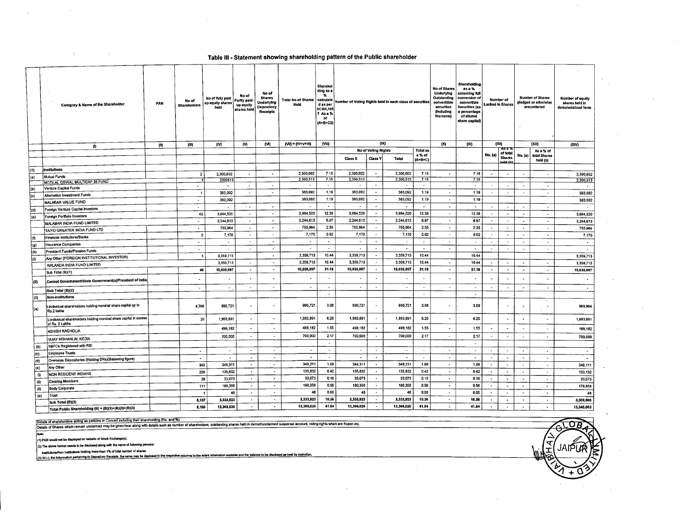### Table III - Statement showing shareholding pattern of the Public shareholder

|                       | Category & Name of the Shareholder                                                   | PAN  | No of<br><b>Shareholders</b> | No of fully paid<br>up equity shares<br>heid | No of<br>Partly paid-<br>up equity<br>shares held | No of<br><b>Shares</b><br>Underlying<br><b>Depository</b><br><b>Receipts</b> | Total No of Shares<br>Held | <b>Sharehol</b><br>ding as a<br>%<br>calculate<br>d as per<br><b>SCRR, 195</b><br>7 As a %<br>of<br>$(A + B + C2)$ | Number of Voting Rights held in each class of securities |                             | Shareholding<br>No of Shares<br>as a %<br><b>Underlying</b><br>assuming full<br>Outstanding<br>conversion of<br>convertible<br>converttible<br>securities<br>Securities (as<br>(Including<br>a percentage<br>Warrants)<br>of diluted<br>share capital) |                          | <b>Number of</b><br>Locked in Shares |                          |                          | <b>Number of Shares</b><br>pledged or otherwise<br>encumbered | <b>Number of equity</b><br>shares held in<br>dematerialized form |                          |                          |
|-----------------------|--------------------------------------------------------------------------------------|------|------------------------------|----------------------------------------------|---------------------------------------------------|------------------------------------------------------------------------------|----------------------------|--------------------------------------------------------------------------------------------------------------------|----------------------------------------------------------|-----------------------------|--------------------------------------------------------------------------------------------------------------------------------------------------------------------------------------------------------------------------------------------------------|--------------------------|--------------------------------------|--------------------------|--------------------------|---------------------------------------------------------------|------------------------------------------------------------------|--------------------------|--------------------------|
|                       | $\bf{0}$                                                                             | (11) | (III)                        | (IV)                                         | w                                                 | (M)                                                                          | (VII) = (IV+V+VI)          | (VIII)                                                                                                             |                                                          | (IX)<br>No of Voting Rights |                                                                                                                                                                                                                                                        | Total as                 | (x)                                  | (XI)                     |                          | (XII)<br><b>AS 8 7</b>                                        | (XIII)<br>As a % of                                              |                          | (XIV)                    |
|                       |                                                                                      |      |                              |                                              |                                                   |                                                                              |                            |                                                                                                                    | <b>Class X</b>                                           | <b>Class Y</b>              | Total                                                                                                                                                                                                                                                  | a % of                   |                                      |                          | No. (a)                  | of total<br><b>Shares</b>                                     |                                                                  | No. (a)   total Shares   |                          |
|                       |                                                                                      |      |                              |                                              |                                                   |                                                                              |                            |                                                                                                                    |                                                          |                             |                                                                                                                                                                                                                                                        | $(A + B + C)$            |                                      |                          |                          | held (h)                                                      |                                                                  | heid (b)                 |                          |
| (1)                   | institutions                                                                         |      | $\overline{2}$               | 2,300,602                                    | $\sim$                                            | $\sim$                                                                       | 2,300,602                  | 7.15                                                                                                               | 2,300,602                                                | $\sim$                      | 2,300,602                                                                                                                                                                                                                                              | 7.15                     | $\hat{\phantom{a}}$                  | 7.15                     | $\overline{\phantom{a}}$ | $\blacksquare$                                                | $\sim$                                                           | $\sim$                   | 2,300,602                |
| (a)                   | <b>Mutual Funds</b>                                                                  |      | $\overline{\mathbf{1}}$      | 2300513                                      |                                                   |                                                                              | 2,300,513                  | 7.15                                                                                                               | 2,300,513                                                |                             | 2,300,513                                                                                                                                                                                                                                              | 7.15                     |                                      | 7.15                     |                          |                                                               |                                                                  |                          | 2.300,513                |
|                       | MOTILAL OSWAL MULTICAP 35 FUND<br>Venture Capital Funds                              |      | $\hat{\phantom{a}}$          | $\sim$                                       | $\sim$                                            | $\overline{\phantom{a}}$                                                     | $\sim$                     | $\sim$                                                                                                             | $\sim$                                                   | $\bullet$                   | $\sim$                                                                                                                                                                                                                                                 | $\sim$                   | $\overline{\phantom{a}}$             | $\overline{\phantom{a}}$ | $\overline{\phantom{a}}$ | $\mathbf{r}$                                                  | $\overline{\phantom{a}}$                                         | $\tilde{\phantom{a}}$    | $\sim$                   |
| (b)<br>$\overline{c}$ | Alternative Investment Funds                                                         |      | $\overline{\mathbf{1}}$      | 383,092                                      | $\sim$                                            | $\overline{\phantom{a}}$                                                     | 383,092                    | 1.19                                                                                                               | 383,092                                                  | $\sim$                      | 383,092                                                                                                                                                                                                                                                | 1.19                     | $\sim$                               | 1.19                     | $\sim$                   | $\sim$                                                        | $\sim$                                                           | $\bullet$                | 383,092                  |
|                       | MALABAR VALUE FUND                                                                   |      | $\sim$                       | 383,092                                      |                                                   |                                                                              | 383,092                    | 1.19                                                                                                               | 383,092                                                  | $\sim$                      | 383,092                                                                                                                                                                                                                                                | 1.19                     | $\sim$                               | 1.19                     |                          |                                                               |                                                                  |                          | 383,092                  |
|                       |                                                                                      |      | $\overline{\phantom{a}}$     | $\tilde{\phantom{a}}$                        | $\sim$ $\sim$                                     | $\sim$                                                                       | $\overline{\phantom{a}}$   | $\sim$                                                                                                             | $\sim$                                                   | $\overline{\phantom{a}}$    | $\sim$                                                                                                                                                                                                                                                 | $\sim$                   | $\sim$                               | $\overline{\phantom{a}}$ | $\bullet$                |                                                               | $\hat{\phantom{a}}$                                              | $\blacksquare$           | $\sim$                   |
| (d)                   | Foreign Venture Capital Investors                                                    |      | 43                           | 3,984,520                                    | $\sim$                                            | $\omega^{-1}$                                                                | 3,984,520                  | 12.38                                                                                                              | 3,984,520                                                | $\sim$                      | 3,984,520                                                                                                                                                                                                                                              | 12.38                    | $\sim$                               | 12.38                    | $\bullet$                | $\bullet$                                                     | $\tilde{\phantom{a}}$                                            | $\sim$                   | 3,984,520                |
| (e)                   | Foreign Portfolio Investors                                                          |      | $\sim$                       | 2,244,613                                    | $\tilde{\phantom{a}}$                             | $\sim$                                                                       | 2,244,613                  | 6.97                                                                                                               | 2,244,613                                                | $\sim$                      | 2,244.613                                                                                                                                                                                                                                              | 6.97                     | $\bullet$                            | 6.97                     | $\blacksquare$           | $\sim$                                                        | $\sim$                                                           | $\blacksquare$           | 2,244,613                |
|                       | MALABAR INDIA FUND LIMITED                                                           |      | $\blacksquare$               | 755,964                                      | $\overline{\phantom{a}}$                          | $\overline{\phantom{a}}$                                                     | 755,964                    | 2.35                                                                                                               | 755,964                                                  | $\sim$                      | 755,964                                                                                                                                                                                                                                                | 2.35                     | $\sim$                               | 2.35                     | $\blacksquare$           |                                                               | $\bullet$                                                        | $\sim$                   | 755,964                  |
|                       | TAIYO GREATER INDIA FUND LTD                                                         |      | $\overline{2}$               | 7,170                                        | $\blacksquare$                                    | $\sim$                                                                       | 7,170                      | 0.02                                                                                                               | 7,170                                                    | $\sim$                      | 7,170                                                                                                                                                                                                                                                  | 0.02                     | $\sim$                               | 0.02                     |                          | $\blacksquare$                                                | $\sim$                                                           | $\bullet$                | 7,170                    |
| İ(f)                  | Financial Institutions/Banks                                                         |      | $\blacksquare$               | $\sim$                                       | $\bullet$                                         | $\sim$                                                                       | $\sim$                     | $\sim$                                                                                                             | $\blacksquare$                                           | $\blacksquare$              | $\mathbf{a}$                                                                                                                                                                                                                                           | $\bullet$                | $\bullet$                            | $\bullet$                | $\blacksquare$           | $\hat{\phantom{a}}$                                           | $\blacksquare$                                                   | $\sim$                   | $\sim$                   |
| (q)                   | Insurance Companies                                                                  |      | $\overline{\phantom{a}}$     | $\sim$                                       | $\overline{\phantom{a}}$                          | $\omega^+$                                                                   | $\sim$                     | $\sim$                                                                                                             | $\sim$                                                   | $\sim$                      | $\sim$                                                                                                                                                                                                                                                 | $\sim$                   | $\sim$                               | $\sim$                   | ٠                        | $\bullet$                                                     | $\sim$                                                           | $\sim$                   | $\sim$                   |
| (m)                   | Provident Funds/Pension Funds                                                        |      | $\overline{\mathbf{1}}$      | 3,359,713                                    |                                                   | $\sim$                                                                       | 3,359,713                  | 10,44                                                                                                              | 3,359,713                                                | $\sim$                      | 3,359,713                                                                                                                                                                                                                                              | 10.44                    |                                      | 10.44                    |                          |                                                               |                                                                  |                          | 3,359,713                |
| łо                    | Any Other (FOREIGN INSTITUTIONAL INVESTOR)                                           |      |                              | 3,359,713                                    | $\ddot{\phantom{0}}$                              | $\Delta$                                                                     | 3,359,713                  | 10.44                                                                                                              | 3,359,713                                                | $\sim$                      | 3,359,713                                                                                                                                                                                                                                              | 10.44                    | $\sim$                               | 10.44                    |                          |                                                               |                                                                  | $\bullet$                | 3,359,713                |
|                       | NALANDA INDIA FUND LIMITED                                                           |      | 49                           | 10,035,097                                   | $\blacksquare$                                    | $\blacksquare$                                                               | 10,035,097                 | 31.18                                                                                                              | 10,035,097                                               | $\blacksquare$              | 10,035,097                                                                                                                                                                                                                                             | 31.18                    | $\blacksquare$                       | 31.18                    | $\blacksquare$           | $\bullet$                                                     | $\blacksquare$                                                   | $\blacksquare$           | 10,035,097               |
|                       | Sub Total (B)(1)                                                                     |      |                              |                                              |                                                   |                                                                              |                            |                                                                                                                    |                                                          |                             |                                                                                                                                                                                                                                                        |                          |                                      |                          |                          |                                                               |                                                                  |                          |                          |
| (2)                   | Central Government/State Government(s)/President of India                            |      |                              |                                              |                                                   |                                                                              |                            | $\bullet$                                                                                                          |                                                          | ٠                           |                                                                                                                                                                                                                                                        |                          |                                      |                          |                          |                                                               |                                                                  |                          |                          |
|                       | Sub Total (B)(2)                                                                     |      | $\sim$                       | $\bullet$                                    | $\blacksquare$                                    | $\hat{\phantom{a}}$                                                          |                            | $\bullet$                                                                                                          | $\blacksquare$                                           | $\blacksquare$              | $\bullet$                                                                                                                                                                                                                                              | $\overline{\phantom{a}}$ | $\sim$                               | $\blacksquare$           | $\blacksquare$           | $\overline{\phantom{a}}$                                      | $\sim$                                                           | $\sim$                   | $\sim$                   |
| (3)                   | Non-Institutions                                                                     |      |                              |                                              |                                                   |                                                                              |                            | $\sim$                                                                                                             |                                                          |                             |                                                                                                                                                                                                                                                        | $\mathbf{r}$             |                                      | $\bullet$                |                          |                                                               |                                                                  |                          |                          |
| )(a)                  | i Individual shareholders holding nominal share capital up to<br>Rs.2 lakhs          |      | 4,768                        | 990,721                                      | $\overline{\phantom{a}}$                          | чf                                                                           | 990,721                    | 3.08                                                                                                               | 990,721                                                  | $\overline{\phantom{a}}$    | 990,721                                                                                                                                                                                                                                                | 3.08                     |                                      | 3.08                     |                          |                                                               |                                                                  |                          | 969,964                  |
|                       | ii individual shareholders holding nominal share capital in excess<br>of Rs. 2 Lakhs |      | 20                           | 1,993,891                                    |                                                   |                                                                              | 1,993,891                  | 6.20                                                                                                               | 1,993,891                                                | $\overline{\phantom{a}}$    | 1,993,891                                                                                                                                                                                                                                              | 6.20                     |                                      | 6.20                     |                          |                                                               |                                                                  | $\overline{\phantom{a}}$ | 1,993,891                |
|                       | <b>ASHISH KACHOLIA</b>                                                               |      |                              | 499,182                                      | $\Delta$                                          | $\sim$                                                                       | 499,182                    | 1.55                                                                                                               | 499,182                                                  | $\overline{\phantom{a}}$    | 499.182                                                                                                                                                                                                                                                | 1.55                     |                                      | 1.55                     |                          |                                                               |                                                                  | $\hat{\phantom{a}}$      | 199,182                  |
|                       | VIJAY KISHANLAL KEDIA                                                                |      |                              | 700,000                                      | $\blacksquare$                                    | $\hat{\phantom{a}}$                                                          | 700,000                    | 2.17                                                                                                               | 700,000                                                  | $\blacksquare$              | 700,000                                                                                                                                                                                                                                                | 2.17                     | $\sim$                               | 2.17                     | $\sim$                   | $\bullet$                                                     | $\sim$                                                           | $\bullet$                | 700,000                  |
| (b)                   | NBFCs Registered with RBI                                                            |      |                              |                                              |                                                   |                                                                              |                            | $\overline{\phantom{a}}$                                                                                           |                                                          |                             |                                                                                                                                                                                                                                                        |                          |                                      | $\sim$                   |                          |                                                               |                                                                  |                          |                          |
| (c)                   | <b>Employee Trusts</b>                                                               |      | $\sim$                       | $\sim$                                       | $\overline{\phantom{a}}$                          | $\bullet$                                                                    | $\bullet$                  | $\Delta$                                                                                                           | $\sim$                                                   | $\sim$                      | $\sim$                                                                                                                                                                                                                                                 | $\sim$                   | $\sim$                               | $\sim$                   | $\overline{\phantom{a}}$ | $\sim$                                                        | $\blacksquare$                                                   | $\bullet$                | $\blacksquare$           |
| (d)                   | Overseas Depositories (Holding DRs)(Balancing figure)                                |      | $\bullet$                    | $\sim$                                       | $\sim$                                            | $\sim$                                                                       | $\bullet$                  | <b>COL</b>                                                                                                         | $\bullet$                                                | $\bullet$                   | $\bullet$                                                                                                                                                                                                                                              | $\sim$                   | $\sim$                               | $\sim$                   | $\overline{\phantom{a}}$ | $\bullet$                                                     | $\sim$                                                           | $\bullet$                | $\overline{\phantom{a}}$ |
| (e)                   | Any Other                                                                            |      | 349                          | 349.311                                      | $\sim$                                            | $\sim$                                                                       | 349,311                    | 1.09                                                                                                               | 349,311                                                  | $\sim$                      | 349,311                                                                                                                                                                                                                                                | 1.09                     | $\sim$                               | 1.09                     | $\sim$                   | $\sim$                                                        | $\overline{\phantom{a}}$                                         | $\bullet$                | 346,111                  |
| $\omega$              | NON RESIDENT INDIANS                                                                 |      | 208                          | 135,832                                      | $\sim$                                            | $\sim$                                                                       | 135,832                    | 0.42                                                                                                               | 135,832                                                  | $\sim$                      | 135,832                                                                                                                                                                                                                                                | 0.42                     | $\sim$                               | 0.42                     | $\sim$ $\sim$            | $\bullet$                                                     | $\overline{\phantom{a}}$                                         | $\Delta$                 | 133,132                  |
| (i)                   | <b>Clearing Members</b>                                                              |      | 29                           | 33,073                                       | $\sim$                                            | $\sim$                                                                       | 33,073                     | 0.10                                                                                                               | 33,073                                                   | $\sim$                      | 33,073                                                                                                                                                                                                                                                 | 0.10                     | $\sim$                               | 0.10                     | $\overline{\phantom{a}}$ | $\bullet$                                                     | $\bullet$                                                        | $\blacksquare$           | 33,073                   |
| (i)                   | <b>Body Corporate</b>                                                                |      | 111                          | 180,358                                      | $\bullet$                                         | $\sim$                                                                       | 180,358                    | 0.56                                                                                                               | 180,358                                                  | $\bullet$                   | 180,358                                                                                                                                                                                                                                                | 0.56                     | $\sim$                               | 0.56                     | $\bullet$                | $\tilde{\phantom{a}}$                                         | $\overline{\phantom{a}}$                                         | $\sim$                   | 179,858                  |
| (w)                   | Trust                                                                                |      |                              | 48                                           | $\tilde{\phantom{a}}$                             | $\overline{\phantom{a}}$                                                     | 48                         | 0.00                                                                                                               | 48                                                       | $\blacksquare$              | 48                                                                                                                                                                                                                                                     | 0.00                     | $\sim$                               | 0.00                     | $\overline{\phantom{a}}$ | $\hat{\phantom{a}}$                                           | $\bullet$                                                        | $\blacksquare$           | 48                       |
|                       | Sub Total (B)(3)                                                                     |      | 5,137                        | 3,333,923                                    | $\blacksquare$                                    | $\sim$                                                                       | 3,333,923                  | 10.36                                                                                                              | 3,333,923                                                | $\sim$                      | 3,333,923                                                                                                                                                                                                                                              | 10.36                    | $\sim$                               | 10.36                    |                          | $\bullet$                                                     | $\blacksquare$                                                   | $\blacksquare$           | 3,309,966                |
|                       | Total Public Shareholding (B) = (B)(1)+(B)(2)+(B)(3)                                 |      | 5,186                        | 13,369,020                                   | $\bullet$                                         | $\bullet$                                                                    | 13,369,020                 | 41.54                                                                                                              | 13,369,020                                               | $\sim$                      | 13,369,020                                                                                                                                                                                                                                             | 41.54                    | $\sim$                               | 41.54                    |                          |                                                               |                                                                  | $\blacksquare$           | 13,345,063               |

Details of shareholders admit as persons in Conceit Fractionary through the state of the state of shareholders, outstanding shares held in demat/unclaimed suspense account, voting rights which are frozen etc.

 $\Big\vert$  (1) PAN would not be displayed on website of Stock Exchange(s).

 $\bar{\alpha}$ 

 $\pm 1$ 

 $\sim 100$ 

 $\big\vert_{(2)}$  The above format needs to be disclosed along with the name of following persons:

Institutions/Non Institutions holding more than 1% of total number of shares.

(3) W.r.t. the Information pertaining to Dopoattory Receipta, the same may be disclosed in the respective columns to the extent Information available and the balance to be disclosed as held by custodian.